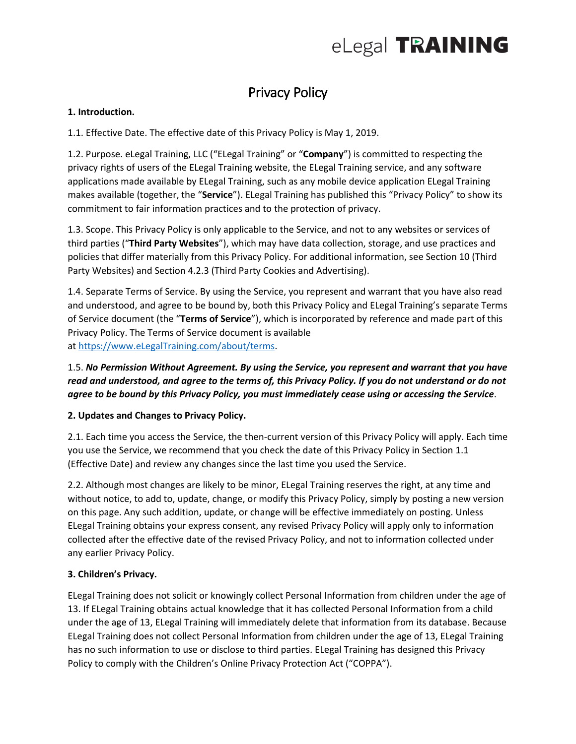

# Privacy Policy

#### **1. Introduction.**

1.1. Effective Date. The effective date of this Privacy Policy is May 1, 2019.

1.2. Purpose. eLegal Training, LLC ("ELegal Training" or "**Company**") is committed to respecting the privacy rights of users of the ELegal Training website, the ELegal Training service, and any software applications made available by ELegal Training, such as any mobile device application ELegal Training makes available (together, the "**Service**"). ELegal Training has published this "Privacy Policy" to show its commitment to fair information practices and to the protection of privacy.

1.3. Scope. This Privacy Policy is only applicable to the Service, and not to any websites or services of third parties ("**Third Party Websites**"), which may have data collection, storage, and use practices and policies that differ materially from this Privacy Policy. For additional information, see Section 10 (Third Party Websites) and Section 4.2.3 (Third Party Cookies and Advertising).

1.4. Separate Terms of Service. By using the Service, you represent and warrant that you have also read and understood, and agree to be bound by, both this Privacy Policy and ELegal Training's separate Terms of Service document (the "**Terms of Service**"), which is incorporated by reference and made part of this Privacy Policy. The Terms of Service document is available at [https://www.eLegalTraining.com/about/terms.](https://www.elegaltraining.com/about/terms)

### 1.5. *No Permission Without Agreement. By using the Service, you represent and warrant that you have read and understood, and agree to the terms of, this Privacy Policy. If you do not understand or do not agree to be bound by this Privacy Policy, you must immediately cease using or accessing the Service*.

#### **2. Updates and Changes to Privacy Policy.**

2.1. Each time you access the Service, the then-current version of this Privacy Policy will apply. Each time you use the Service, we recommend that you check the date of this Privacy Policy in Section 1.1 (Effective Date) and review any changes since the last time you used the Service.

2.2. Although most changes are likely to be minor, ELegal Training reserves the right, at any time and without notice, to add to, update, change, or modify this Privacy Policy, simply by posting a new version on this page. Any such addition, update, or change will be effective immediately on posting. Unless ELegal Training obtains your express consent, any revised Privacy Policy will apply only to information collected after the effective date of the revised Privacy Policy, and not to information collected under any earlier Privacy Policy.

#### **3. Children's Privacy.**

ELegal Training does not solicit or knowingly collect Personal Information from children under the age of 13. If ELegal Training obtains actual knowledge that it has collected Personal Information from a child under the age of 13, ELegal Training will immediately delete that information from its database. Because ELegal Training does not collect Personal Information from children under the age of 13, ELegal Training has no such information to use or disclose to third parties. ELegal Training has designed this Privacy Policy to comply with the Children's Online Privacy Protection Act ("COPPA").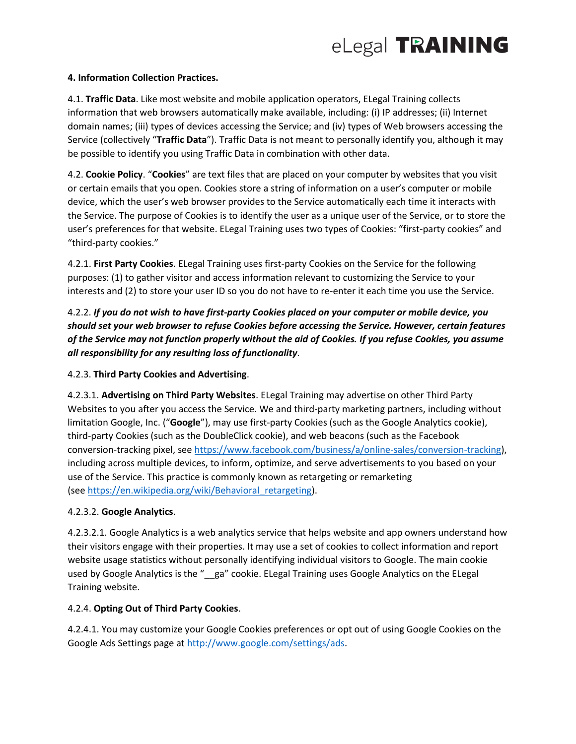#### **4. Information Collection Practices.**

4.1. **Traffic Data**. Like most website and mobile application operators, ELegal Training collects information that web browsers automatically make available, including: (i) IP addresses; (ii) Internet domain names; (iii) types of devices accessing the Service; and (iv) types of Web browsers accessing the Service (collectively "**Traffic Data**"). Traffic Data is not meant to personally identify you, although it may be possible to identify you using Traffic Data in combination with other data.

4.2. **Cookie Policy**. "**Cookies**" are text files that are placed on your computer by websites that you visit or certain emails that you open. Cookies store a string of information on a user's computer or mobile device, which the user's web browser provides to the Service automatically each time it interacts with the Service. The purpose of Cookies is to identify the user as a unique user of the Service, or to store the user's preferences for that website. ELegal Training uses two types of Cookies: "first-party cookies" and "third-party cookies."

4.2.1. **First Party Cookies**. ELegal Training uses first-party Cookies on the Service for the following purposes: (1) to gather visitor and access information relevant to customizing the Service to your interests and (2) to store your user ID so you do not have to re-enter it each time you use the Service.

4.2.2. *If you do not wish to have first-party Cookies placed on your computer or mobile device, you should set your web browser to refuse Cookies before accessing the Service. However, certain features of the Service may not function properly without the aid of Cookies. If you refuse Cookies, you assume all responsibility for any resulting loss of functionality*.

#### 4.2.3. **Third Party Cookies and Advertising**.

4.2.3.1. **Advertising on Third Party Websites**. ELegal Training may advertise on other Third Party Websites to you after you access the Service. We and third-party marketing partners, including without limitation Google, Inc. ("**Google**"), may use first-party Cookies (such as the Google Analytics cookie), third-party Cookies (such as the DoubleClick cookie), and web beacons (such as the Facebook conversion-tracking pixel, see [https://www.facebook.com/business/a/online-sales/conversion-tracking\)](https://www.facebook.com/business/a/online-sales/conversion-tracking), including across multiple devices, to inform, optimize, and serve advertisements to you based on your use of the Service. This practice is commonly known as retargeting or remarketing (see [https://en.wikipedia.org/wiki/Behavioral\\_retargeting\)](https://en.wikipedia.org/wiki/Behavioral_retargeting).

#### 4.2.3.2. **Google Analytics**.

4.2.3.2.1. Google Analytics is a web analytics service that helps website and app owners understand how their visitors engage with their properties. It may use a set of cookies to collect information and report website usage statistics without personally identifying individual visitors to Google. The main cookie used by Google Analytics is the "\_ga" cookie. ELegal Training uses Google Analytics on the ELegal Training website.

#### 4.2.4. **Opting Out of Third Party Cookies**.

4.2.4.1. You may customize your Google Cookies preferences or opt out of using Google Cookies on the Google Ads Settings page at [http://www.google.com/settings/ads.](http://www.google.com/settings/ads)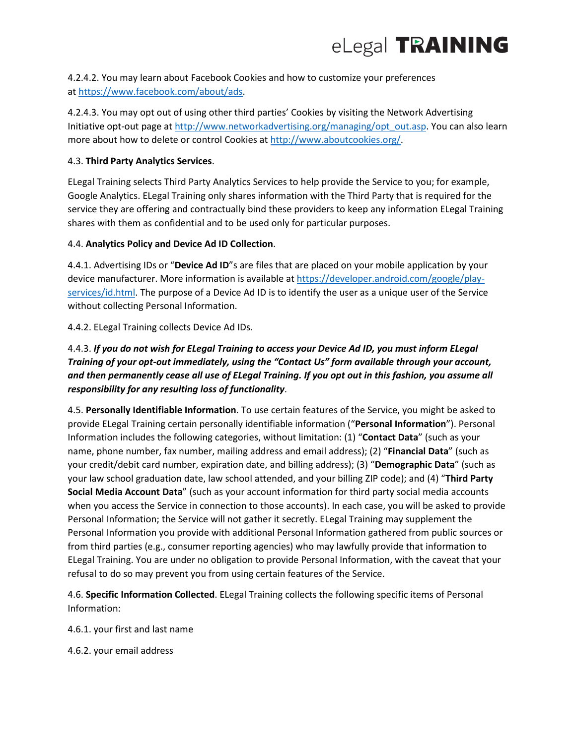

4.2.4.2. You may learn about Facebook Cookies and how to customize your preferences at [https://www.facebook.com/about/ads.](https://www.facebook.com/about/ads)

4.2.4.3. You may opt out of using other third parties' Cookies by visiting the Network Advertising Initiative opt-out page at [http://www.networkadvertising.org/managing/opt\\_out.asp.](http://www.networkadvertising.org/managing/opt_out.asp) You can also learn more about how to delete or control Cookies at [http://www.aboutcookies.org/.](http://www.aboutcookies.org/)

#### 4.3. **Third Party Analytics Services**.

ELegal Training selects Third Party Analytics Services to help provide the Service to you; for example, Google Analytics. ELegal Training only shares information with the Third Party that is required for the service they are offering and contractually bind these providers to keep any information ELegal Training shares with them as confidential and to be used only for particular purposes.

#### 4.4. **Analytics Policy and Device Ad ID Collection**.

4.4.1. Advertising IDs or "**Device Ad ID**"s are files that are placed on your mobile application by your device manufacturer. More information is available at [https://developer.android.com/google/play](https://developer.android.com/google/play-services/id.html)[services/id.html.](https://developer.android.com/google/play-services/id.html) The purpose of a Device Ad ID is to identify the user as a unique user of the Service without collecting Personal Information.

#### 4.4.2. ELegal Training collects Device Ad IDs.

# 4.4.3. *If you do not wish for ELegal Training to access your Device Ad ID, you must inform ELegal Training of your opt-out immediately, using the "Contact Us" form available through your account, and then permanently cease all use of ELegal Training. If you opt out in this fashion, you assume all responsibility for any resulting loss of functionality*.

4.5. **Personally Identifiable Information**. To use certain features of the Service, you might be asked to provide ELegal Training certain personally identifiable information ("**Personal Information**"). Personal Information includes the following categories, without limitation: (1) "**Contact Data**" (such as your name, phone number, fax number, mailing address and email address); (2) "**Financial Data**" (such as your credit/debit card number, expiration date, and billing address); (3) "**Demographic Data**" (such as your law school graduation date, law school attended, and your billing ZIP code); and (4) "**Third Party Social Media Account Data**" (such as your account information for third party social media accounts when you access the Service in connection to those accounts). In each case, you will be asked to provide Personal Information; the Service will not gather it secretly. ELegal Training may supplement the Personal Information you provide with additional Personal Information gathered from public sources or from third parties (e.g., consumer reporting agencies) who may lawfully provide that information to ELegal Training. You are under no obligation to provide Personal Information, with the caveat that your refusal to do so may prevent you from using certain features of the Service.

4.6. **Specific Information Collected**. ELegal Training collects the following specific items of Personal Information:

4.6.1. your first and last name

4.6.2. your email address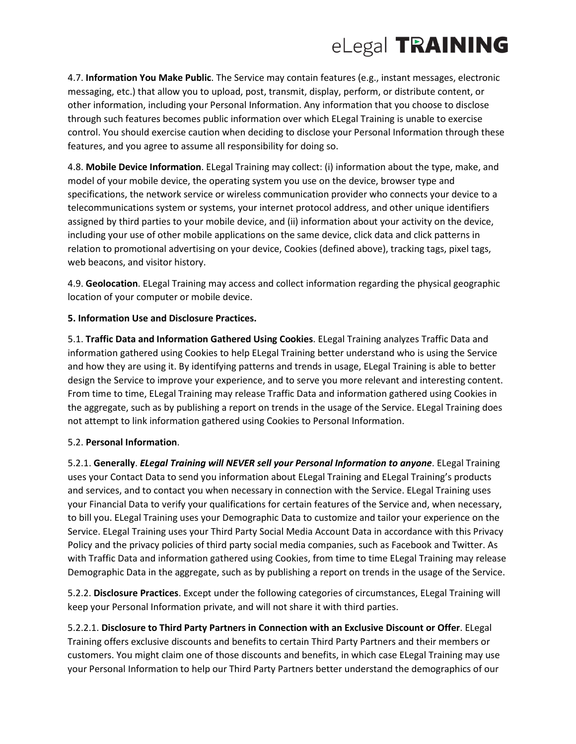

4.7. **Information You Make Public**. The Service may contain features (e.g., instant messages, electronic messaging, etc.) that allow you to upload, post, transmit, display, perform, or distribute content, or other information, including your Personal Information. Any information that you choose to disclose through such features becomes public information over which ELegal Training is unable to exercise control. You should exercise caution when deciding to disclose your Personal Information through these features, and you agree to assume all responsibility for doing so.

4.8. **Mobile Device Information**. ELegal Training may collect: (i) information about the type, make, and model of your mobile device, the operating system you use on the device, browser type and specifications, the network service or wireless communication provider who connects your device to a telecommunications system or systems, your internet protocol address, and other unique identifiers assigned by third parties to your mobile device, and (ii) information about your activity on the device, including your use of other mobile applications on the same device, click data and click patterns in relation to promotional advertising on your device, Cookies (defined above), tracking tags, pixel tags, web beacons, and visitor history.

4.9. **Geolocation**. ELegal Training may access and collect information regarding the physical geographic location of your computer or mobile device.

#### **5. Information Use and Disclosure Practices.**

5.1. **Traffic Data and Information Gathered Using Cookies**. ELegal Training analyzes Traffic Data and information gathered using Cookies to help ELegal Training better understand who is using the Service and how they are using it. By identifying patterns and trends in usage, ELegal Training is able to better design the Service to improve your experience, and to serve you more relevant and interesting content. From time to time, ELegal Training may release Traffic Data and information gathered using Cookies in the aggregate, such as by publishing a report on trends in the usage of the Service. ELegal Training does not attempt to link information gathered using Cookies to Personal Information.

#### 5.2. **Personal Information**.

5.2.1. **Generally**. *ELegal Training will NEVER sell your Personal Information to anyone*. ELegal Training uses your Contact Data to send you information about ELegal Training and ELegal Training's products and services, and to contact you when necessary in connection with the Service. ELegal Training uses your Financial Data to verify your qualifications for certain features of the Service and, when necessary, to bill you. ELegal Training uses your Demographic Data to customize and tailor your experience on the Service. ELegal Training uses your Third Party Social Media Account Data in accordance with this Privacy Policy and the privacy policies of third party social media companies, such as Facebook and Twitter. As with Traffic Data and information gathered using Cookies, from time to time ELegal Training may release Demographic Data in the aggregate, such as by publishing a report on trends in the usage of the Service.

5.2.2. **Disclosure Practices**. Except under the following categories of circumstances, ELegal Training will keep your Personal Information private, and will not share it with third parties.

5.2.2.1. **Disclosure to Third Party Partners in Connection with an Exclusive Discount or Offer**. ELegal Training offers exclusive discounts and benefits to certain Third Party Partners and their members or customers. You might claim one of those discounts and benefits, in which case ELegal Training may use your Personal Information to help our Third Party Partners better understand the demographics of our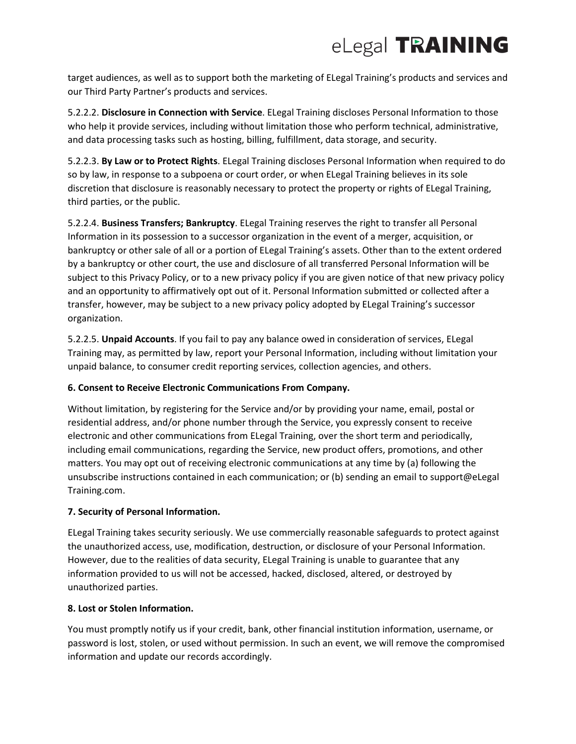# eLegal TRAINING

target audiences, as well as to support both the marketing of ELegal Training's products and services and our Third Party Partner's products and services.

5.2.2.2. **Disclosure in Connection with Service**. ELegal Training discloses Personal Information to those who help it provide services, including without limitation those who perform technical, administrative, and data processing tasks such as hosting, billing, fulfillment, data storage, and security.

5.2.2.3. **By Law or to Protect Rights**. ELegal Training discloses Personal Information when required to do so by law, in response to a subpoena or court order, or when ELegal Training believes in its sole discretion that disclosure is reasonably necessary to protect the property or rights of ELegal Training, third parties, or the public.

5.2.2.4. **Business Transfers; Bankruptcy**. ELegal Training reserves the right to transfer all Personal Information in its possession to a successor organization in the event of a merger, acquisition, or bankruptcy or other sale of all or a portion of ELegal Training's assets. Other than to the extent ordered by a bankruptcy or other court, the use and disclosure of all transferred Personal Information will be subject to this Privacy Policy, or to a new privacy policy if you are given notice of that new privacy policy and an opportunity to affirmatively opt out of it. Personal Information submitted or collected after a transfer, however, may be subject to a new privacy policy adopted by ELegal Training's successor organization.

5.2.2.5. **Unpaid Accounts**. If you fail to pay any balance owed in consideration of services, ELegal Training may, as permitted by law, report your Personal Information, including without limitation your unpaid balance, to consumer credit reporting services, collection agencies, and others.

#### **6. Consent to Receive Electronic Communications From Company.**

Without limitation, by registering for the Service and/or by providing your name, email, postal or residential address, and/or phone number through the Service, you expressly consent to receive electronic and other communications from ELegal Training, over the short term and periodically, including email communications, regarding the Service, new product offers, promotions, and other matters. You may opt out of receiving electronic communications at any time by (a) following the unsubscribe instructions contained in each communication; or (b) sending an email to support@eLegal Training.com.

## **7. Security of Personal Information.**

ELegal Training takes security seriously. We use commercially reasonable safeguards to protect against the unauthorized access, use, modification, destruction, or disclosure of your Personal Information. However, due to the realities of data security, ELegal Training is unable to guarantee that any information provided to us will not be accessed, hacked, disclosed, altered, or destroyed by unauthorized parties.

#### **8. Lost or Stolen Information.**

You must promptly notify us if your credit, bank, other financial institution information, username, or password is lost, stolen, or used without permission. In such an event, we will remove the compromised information and update our records accordingly.